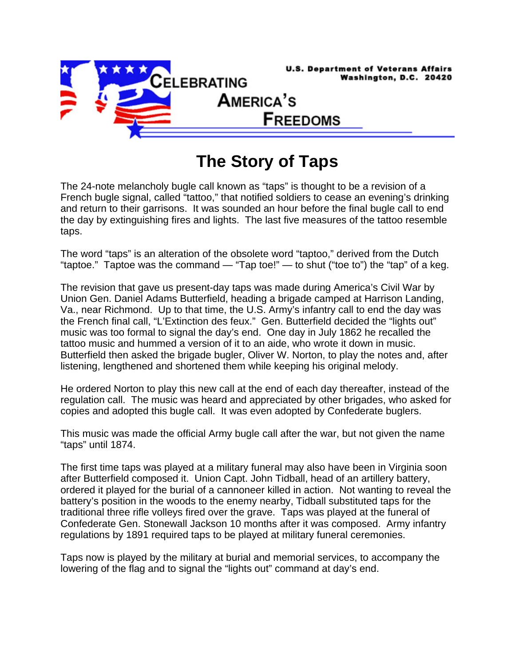

## **The Story of Taps**

The 24-note melancholy bugle call known as "taps" is thought to be a revision of a French bugle signal, called "tattoo," that notified soldiers to cease an evening's drinking and return to their garrisons. It was sounded an hour before the final bugle call to end the day by extinguishing fires and lights. The last five measures of the tattoo resemble taps.

The word "taps" is an alteration of the obsolete word "taptoo," derived from the Dutch "taptoe." Taptoe was the command — "Tap toe!" — to shut ("toe to") the "tap" of a keg.

The revision that gave us present-day taps was made during America's Civil War by Union Gen. Daniel Adams Butterfield, heading a brigade camped at Harrison Landing, Va., near Richmond. Up to that time, the U.S. Army's infantry call to end the day was the French final call, "L'Extinction des feux." Gen. Butterfield decided the "lights out" music was too formal to signal the day's end. One day in July 1862 he recalled the tattoo music and hummed a version of it to an aide, who wrote it down in music. Butterfield then asked the brigade bugler, Oliver W. Norton, to play the notes and, after listening, lengthened and shortened them while keeping his original melody.

He ordered Norton to play this new call at the end of each day thereafter, instead of the regulation call. The music was heard and appreciated by other brigades, who asked for copies and adopted this bugle call. It was even adopted by Confederate buglers.

This music was made the official Army bugle call after the war, but not given the name "taps" until 1874.

The first time taps was played at a military funeral may also have been in Virginia soon after Butterfield composed it. Union Capt. John Tidball, head of an artillery battery, ordered it played for the burial of a cannoneer killed in action. Not wanting to reveal the battery's position in the woods to the enemy nearby, Tidball substituted taps for the traditional three rifle volleys fired over the grave. Taps was played at the funeral of Confederate Gen. Stonewall Jackson 10 months after it was composed. Army infantry regulations by 1891 required taps to be played at military funeral ceremonies.

Taps now is played by the military at burial and memorial services, to accompany the lowering of the flag and to signal the "lights out" command at day's end.